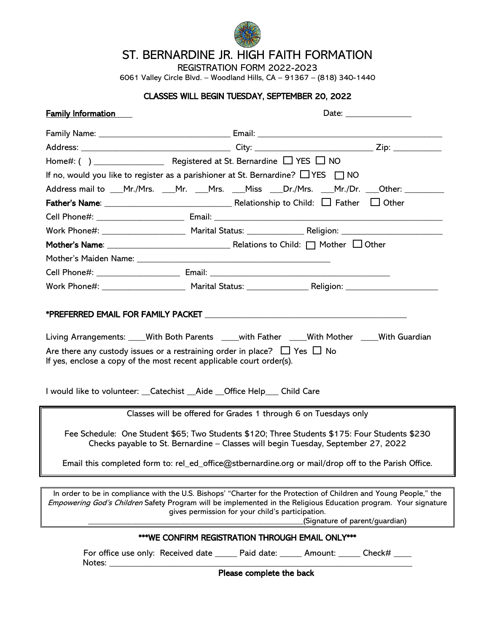

## ST. BERNARDINE JR. HIGH FAITH FORMATION

REGISTRATION FORM 2022-2023

6061 Valley Circle Blvd. – Woodland Hills, CA – 91367 – (818) 340-1440

## CLASSES WILL BEGIN TUESDAY, SEPTEMBER 20, 2022

| <b>Family Information</b>                                                                                                                                                                                                                                                                                                                | Date: __________________                                        |                                                                                               |  |  |  |  |
|------------------------------------------------------------------------------------------------------------------------------------------------------------------------------------------------------------------------------------------------------------------------------------------------------------------------------------------|-----------------------------------------------------------------|-----------------------------------------------------------------------------------------------|--|--|--|--|
|                                                                                                                                                                                                                                                                                                                                          |                                                                 |                                                                                               |  |  |  |  |
|                                                                                                                                                                                                                                                                                                                                          |                                                                 |                                                                                               |  |  |  |  |
|                                                                                                                                                                                                                                                                                                                                          |                                                                 |                                                                                               |  |  |  |  |
| If no, would you like to register as a parishioner at St. Bernardine? $\Box$ YES $\Box$ NO                                                                                                                                                                                                                                               |                                                                 |                                                                                               |  |  |  |  |
|                                                                                                                                                                                                                                                                                                                                          |                                                                 | Address mail to ___Mr./Mrs. ___Mr. ___Mrs. ___Miss ___Dr./Mrs. ___Mr./Dr. ___Other: _________ |  |  |  |  |
|                                                                                                                                                                                                                                                                                                                                          |                                                                 |                                                                                               |  |  |  |  |
|                                                                                                                                                                                                                                                                                                                                          |                                                                 |                                                                                               |  |  |  |  |
|                                                                                                                                                                                                                                                                                                                                          |                                                                 |                                                                                               |  |  |  |  |
|                                                                                                                                                                                                                                                                                                                                          |                                                                 |                                                                                               |  |  |  |  |
|                                                                                                                                                                                                                                                                                                                                          |                                                                 |                                                                                               |  |  |  |  |
|                                                                                                                                                                                                                                                                                                                                          |                                                                 |                                                                                               |  |  |  |  |
|                                                                                                                                                                                                                                                                                                                                          |                                                                 |                                                                                               |  |  |  |  |
| Living Arrangements: ____With Both Parents ____with Father ____With Mother ____With Guardian<br>Are there any custody issues or a restraining order in place? $\Box$ Yes $\Box$ No<br>If yes, enclose a copy of the most recent applicable court order(s).<br>I would like to volunteer: __Catechist __Aide __Office Help____ Child Care |                                                                 |                                                                                               |  |  |  |  |
|                                                                                                                                                                                                                                                                                                                                          | Classes will be offered for Grades 1 through 6 on Tuesdays only |                                                                                               |  |  |  |  |
| Fee Schedule: One Student \$65; Two Students \$120; Three Students \$175: Four Students \$230<br>Checks payable to St. Bernardine - Classes will begin Tuesday, September 27, 2022<br>Email this completed form to: rel_ed_office@stbernardine.org or mail/drop off to the Parish Office.                                                |                                                                 |                                                                                               |  |  |  |  |
|                                                                                                                                                                                                                                                                                                                                          |                                                                 |                                                                                               |  |  |  |  |
| In order to be in compliance with the U.S. Bishops' "Charter for the Protection of Children and Young People," the<br>Empowering God's Children Safety Program will be implemented in the Religious Education program. Your signature<br>gives permission for your child's participation.<br>(Signature of parent/guardian)              |                                                                 |                                                                                               |  |  |  |  |
| ***WE CONFIRM REGISTRATION THROUGH EMAIL ONLY***                                                                                                                                                                                                                                                                                         |                                                                 |                                                                                               |  |  |  |  |
| Notes: $\_\_$                                                                                                                                                                                                                                                                                                                            |                                                                 | For office use only: Received date ______ Paid date: ______ Amount: ______ Check# ____        |  |  |  |  |

Please complete the back